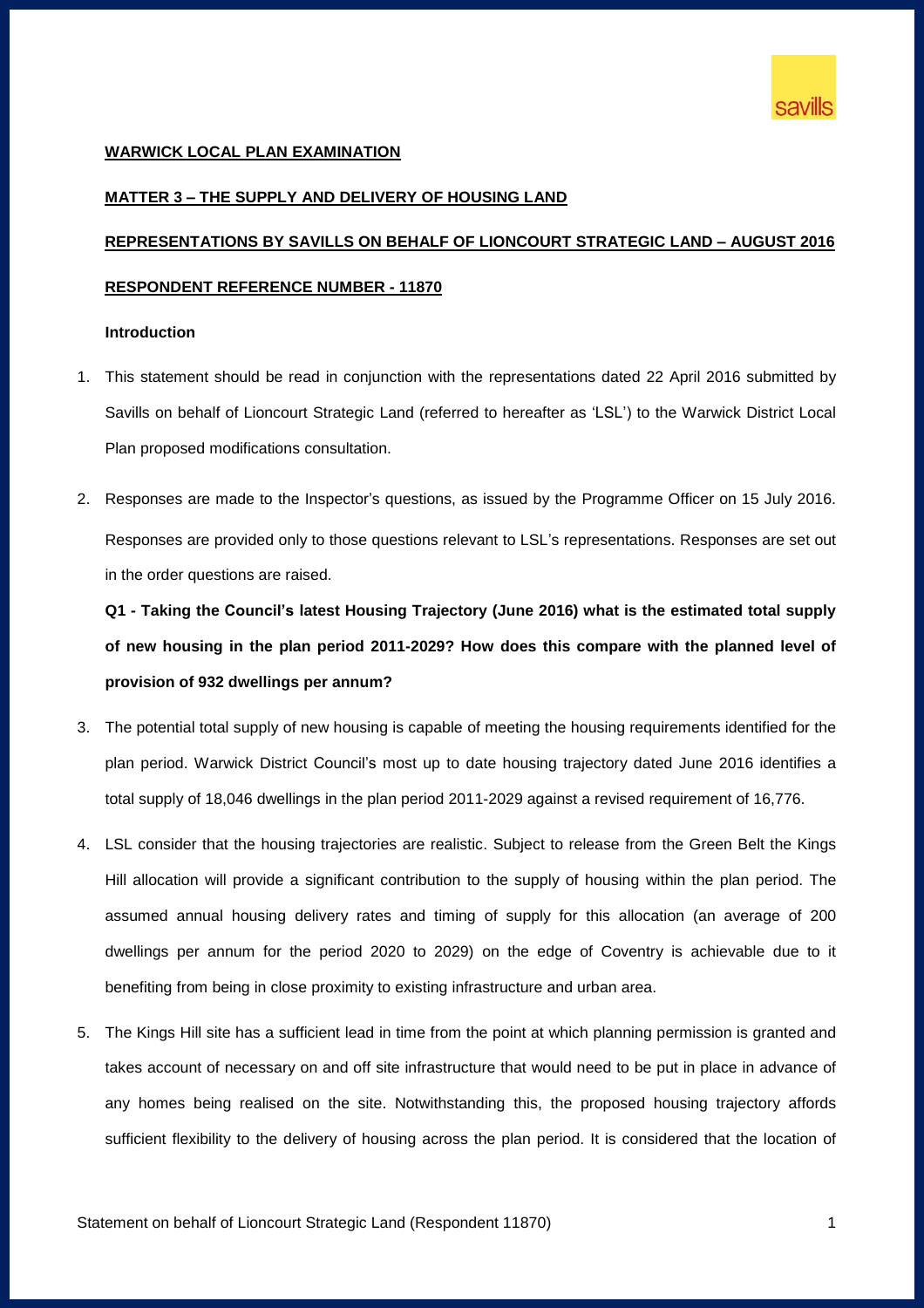### **WARWICK LOCAL PLAN EXAMINATION**

### **MATTER 3 – THE SUPPLY AND DELIVERY OF HOUSING LAND**

# **REPRESENTATIONS BY SAVILLS ON BEHALF OF LIONCOURT STRATEGIC LAND – AUGUST 2016 RESPONDENT REFERENCE NUMBER - 11870**

## **Introduction**

- 1. This statement should be read in conjunction with the representations dated 22 April 2016 submitted by Savills on behalf of Lioncourt Strategic Land (referred to hereafter as 'LSL') to the Warwick District Local Plan proposed modifications consultation.
- 2. Responses are made to the Inspector's questions, as issued by the Programme Officer on 15 July 2016. Responses are provided only to those questions relevant to LSL's representations. Responses are set out in the order questions are raised.

**Q1 - Taking the Council's latest Housing Trajectory (June 2016) what is the estimated total supply of new housing in the plan period 2011-2029? How does this compare with the planned level of provision of 932 dwellings per annum?**

- 3. The potential total supply of new housing is capable of meeting the housing requirements identified for the plan period. Warwick District Council's most up to date housing trajectory dated June 2016 identifies a total supply of 18,046 dwellings in the plan period 2011-2029 against a revised requirement of 16,776.
- 4. LSL consider that the housing trajectories are realistic. Subject to release from the Green Belt the Kings Hill allocation will provide a significant contribution to the supply of housing within the plan period. The assumed annual housing delivery rates and timing of supply for this allocation (an average of 200 dwellings per annum for the period 2020 to 2029) on the edge of Coventry is achievable due to it benefiting from being in close proximity to existing infrastructure and urban area.
- 5. The Kings Hill site has a sufficient lead in time from the point at which planning permission is granted and takes account of necessary on and off site infrastructure that would need to be put in place in advance of any homes being realised on the site. Notwithstanding this, the proposed housing trajectory affords sufficient flexibility to the delivery of housing across the plan period. It is considered that the location of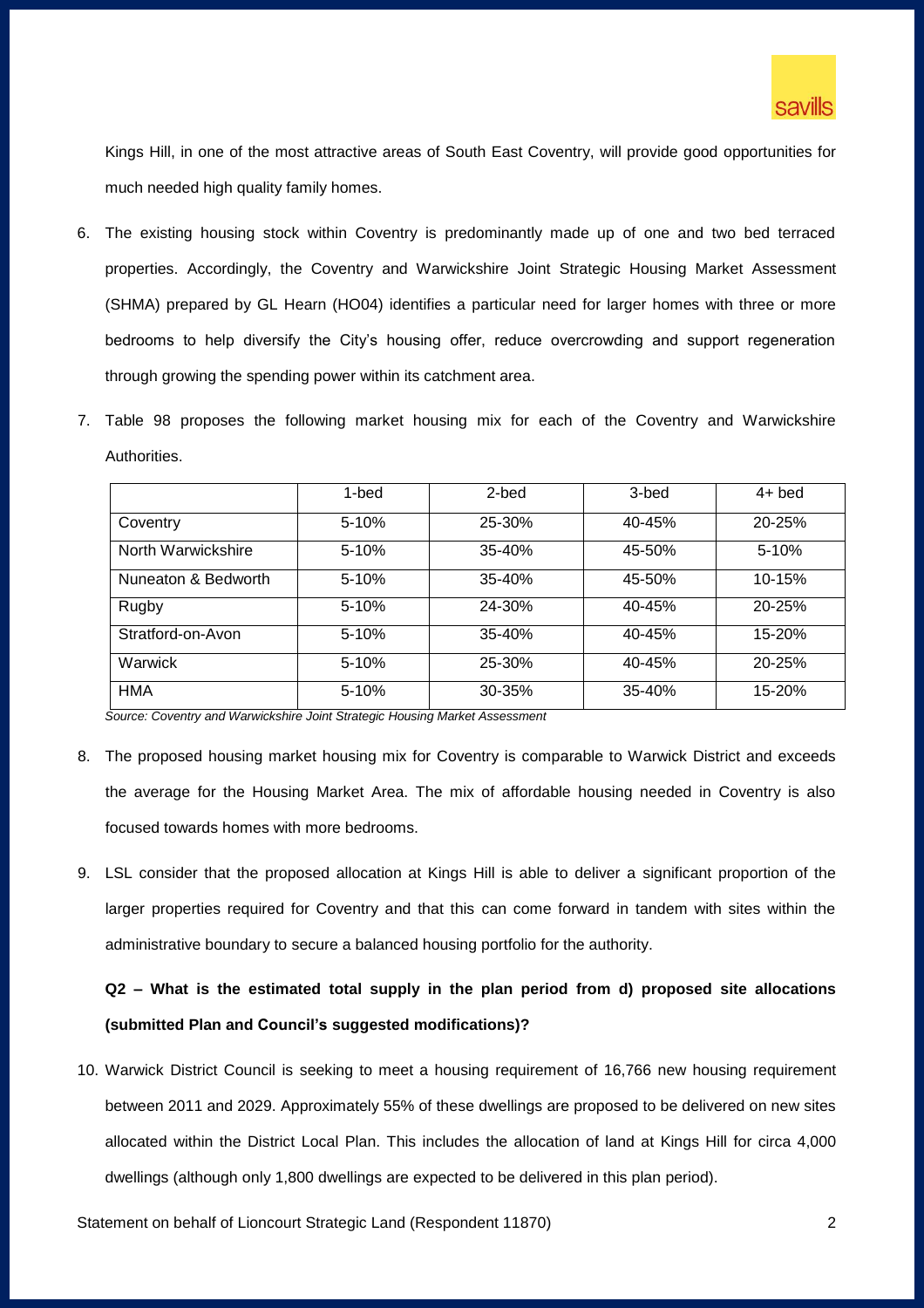Kings Hill, in one of the most attractive areas of South East Coventry, will provide good opportunities for much needed high quality family homes.

- 6. The existing housing stock within Coventry is predominantly made up of one and two bed terraced properties. Accordingly, the Coventry and Warwickshire Joint Strategic Housing Market Assessment (SHMA) prepared by GL Hearn (HO04) identifies a particular need for larger homes with three or more bedrooms to help diversify the City's housing offer, reduce overcrowding and support regeneration through growing the spending power within its catchment area.
- 7. Table 98 proposes the following market housing mix for each of the Coventry and Warwickshire Authorities.

|                     | 1-bed     | 2-bed      | 3-bed      | $4+$ bed   |
|---------------------|-----------|------------|------------|------------|
| Coventry            | $5 - 10%$ | 25-30%     | 40-45%     | $20 - 25%$ |
| North Warwickshire  | $5 - 10%$ | $35 - 40%$ | 45-50%     | $5 - 10%$  |
| Nuneaton & Bedworth | $5 - 10%$ | $35 - 40%$ | 45-50%     | 10-15%     |
| Rugby               | $5 - 10%$ | 24-30%     | 40-45%     | 20-25%     |
| Stratford-on-Avon   | $5 - 10%$ | $35 - 40%$ | $40 - 45%$ | 15-20%     |
| Warwick             | $5 - 10%$ | 25-30%     | 40-45%     | 20-25%     |
| <b>HMA</b>          | $5 - 10%$ | 30-35%     | 35-40%     | 15-20%     |

*Source: Coventry and Warwickshire Joint Strategic Housing Market Assessment*

- 8. The proposed housing market housing mix for Coventry is comparable to Warwick District and exceeds the average for the Housing Market Area. The mix of affordable housing needed in Coventry is also focused towards homes with more bedrooms.
- 9. LSL consider that the proposed allocation at Kings Hill is able to deliver a significant proportion of the larger properties required for Coventry and that this can come forward in tandem with sites within the administrative boundary to secure a balanced housing portfolio for the authority.

# **Q2 – What is the estimated total supply in the plan period from d) proposed site allocations (submitted Plan and Council's suggested modifications)?**

10. Warwick District Council is seeking to meet a housing requirement of 16,766 new housing requirement between 2011 and 2029. Approximately 55% of these dwellings are proposed to be delivered on new sites allocated within the District Local Plan. This includes the allocation of land at Kings Hill for circa 4,000 dwellings (although only 1,800 dwellings are expected to be delivered in this plan period).